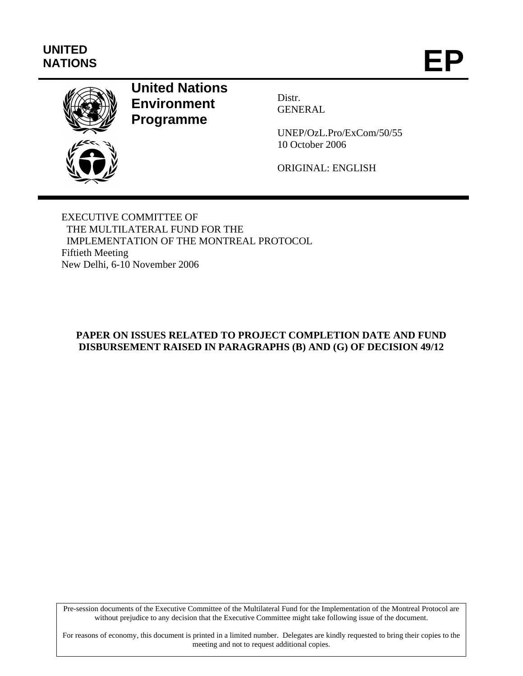# **UNITED**  UNITED<br>NATIONS **EP**



# **United Nations Environment Programme**

Distr. GENERAL

UNEP/OzL.Pro/ExCom/50/55 10 October 2006

ORIGINAL: ENGLISH

EXECUTIVE COMMITTEE OF THE MULTILATERAL FUND FOR THE IMPLEMENTATION OF THE MONTREAL PROTOCOL Fiftieth Meeting New Delhi, 6-10 November 2006

# **PAPER ON ISSUES RELATED TO PROJECT COMPLETION DATE AND FUND DISBURSEMENT RAISED IN PARAGRAPHS (B) AND (G) OF DECISION 49/12**

Pre-session documents of the Executive Committee of the Multilateral Fund for the Implementation of the Montreal Protocol are without prejudice to any decision that the Executive Committee might take following issue of the document.

For reasons of economy, this document is printed in a limited number. Delegates are kindly requested to bring their copies to the meeting and not to request additional copies.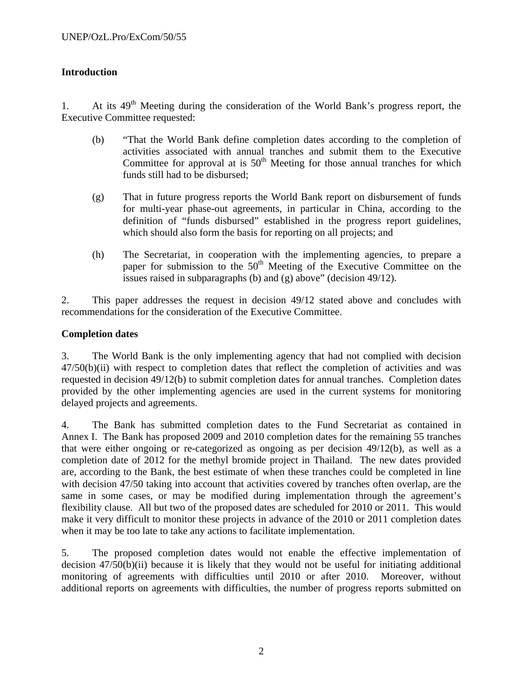# **Introduction**

1. At its 49<sup>th</sup> Meeting during the consideration of the World Bank's progress report, the Executive Committee requested:

- (b) "That the World Bank define completion dates according to the completion of activities associated with annual tranches and submit them to the Executive Committee for approval at is  $50<sup>th</sup>$  Meeting for those annual tranches for which funds still had to be disbursed;
- (g) That in future progress reports the World Bank report on disbursement of funds for multi-year phase-out agreements, in particular in China, according to the definition of "funds disbursed" established in the progress report guidelines, which should also form the basis for reporting on all projects; and
- (h) The Secretariat, in cooperation with the implementing agencies, to prepare a paper for submission to the  $50<sup>th</sup>$  Meeting of the Executive Committee on the issues raised in subparagraphs (b) and (g) above" (decision 49/12).

2. This paper addresses the request in decision 49/12 stated above and concludes with recommendations for the consideration of the Executive Committee.

#### **Completion dates**

3. The World Bank is the only implementing agency that had not complied with decision 47/50(b)(ii) with respect to completion dates that reflect the completion of activities and was requested in decision 49/12(b) to submit completion dates for annual tranches. Completion dates provided by the other implementing agencies are used in the current systems for monitoring delayed projects and agreements.

4. The Bank has submitted completion dates to the Fund Secretariat as contained in Annex I. The Bank has proposed 2009 and 2010 completion dates for the remaining 55 tranches that were either ongoing or re-categorized as ongoing as per decision 49/12(b), as well as a completion date of 2012 for the methyl bromide project in Thailand. The new dates provided are, according to the Bank, the best estimate of when these tranches could be completed in line with decision 47/50 taking into account that activities covered by tranches often overlap, are the same in some cases, or may be modified during implementation through the agreement's flexibility clause. All but two of the proposed dates are scheduled for 2010 or 2011. This would make it very difficult to monitor these projects in advance of the 2010 or 2011 completion dates when it may be too late to take any actions to facilitate implementation.

5. The proposed completion dates would not enable the effective implementation of decision 47/50(b)(ii) because it is likely that they would not be useful for initiating additional monitoring of agreements with difficulties until 2010 or after 2010. Moreover, without additional reports on agreements with difficulties, the number of progress reports submitted on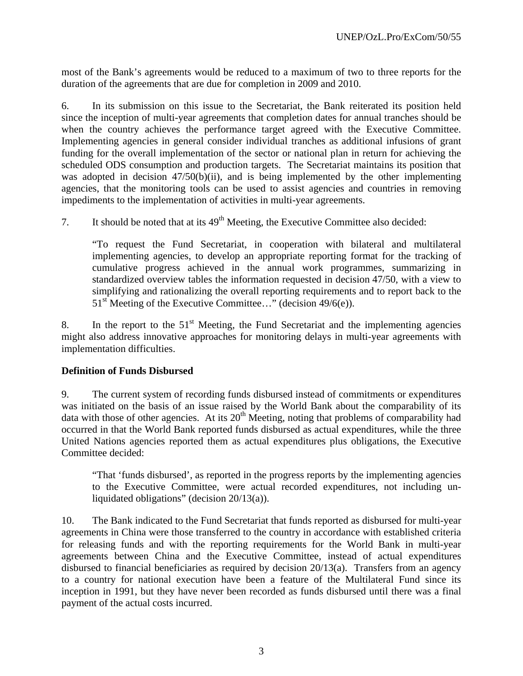most of the Bank's agreements would be reduced to a maximum of two to three reports for the duration of the agreements that are due for completion in 2009 and 2010.

6. In its submission on this issue to the Secretariat, the Bank reiterated its position held since the inception of multi-year agreements that completion dates for annual tranches should be when the country achieves the performance target agreed with the Executive Committee. Implementing agencies in general consider individual tranches as additional infusions of grant funding for the overall implementation of the sector or national plan in return for achieving the scheduled ODS consumption and production targets. The Secretariat maintains its position that was adopted in decision 47/50(b)(ii), and is being implemented by the other implementing agencies, that the monitoring tools can be used to assist agencies and countries in removing impediments to the implementation of activities in multi-year agreements.

7. It should be noted that at its  $49<sup>th</sup>$  Meeting, the Executive Committee also decided:

"To request the Fund Secretariat, in cooperation with bilateral and multilateral implementing agencies, to develop an appropriate reporting format for the tracking of cumulative progress achieved in the annual work programmes, summarizing in standardized overview tables the information requested in decision 47/50, with a view to simplifying and rationalizing the overall reporting requirements and to report back to the  $51<sup>st</sup>$  Meeting of the Executive Committee..." (decision 49/6(e)).

8. In the report to the  $51<sup>st</sup>$  Meeting, the Fund Secretariat and the implementing agencies might also address innovative approaches for monitoring delays in multi-year agreements with implementation difficulties.

#### **Definition of Funds Disbursed**

9. The current system of recording funds disbursed instead of commitments or expenditures was initiated on the basis of an issue raised by the World Bank about the comparability of its data with those of other agencies. At its  $20<sup>th</sup>$  Meeting, noting that problems of comparability had occurred in that the World Bank reported funds disbursed as actual expenditures, while the three United Nations agencies reported them as actual expenditures plus obligations, the Executive Committee decided:

"That 'funds disbursed', as reported in the progress reports by the implementing agencies to the Executive Committee, were actual recorded expenditures, not including unliquidated obligations" (decision 20/13(a)).

10. The Bank indicated to the Fund Secretariat that funds reported as disbursed for multi-year agreements in China were those transferred to the country in accordance with established criteria for releasing funds and with the reporting requirements for the World Bank in multi-year agreements between China and the Executive Committee, instead of actual expenditures disbursed to financial beneficiaries as required by decision 20/13(a). Transfers from an agency to a country for national execution have been a feature of the Multilateral Fund since its inception in 1991, but they have never been recorded as funds disbursed until there was a final payment of the actual costs incurred.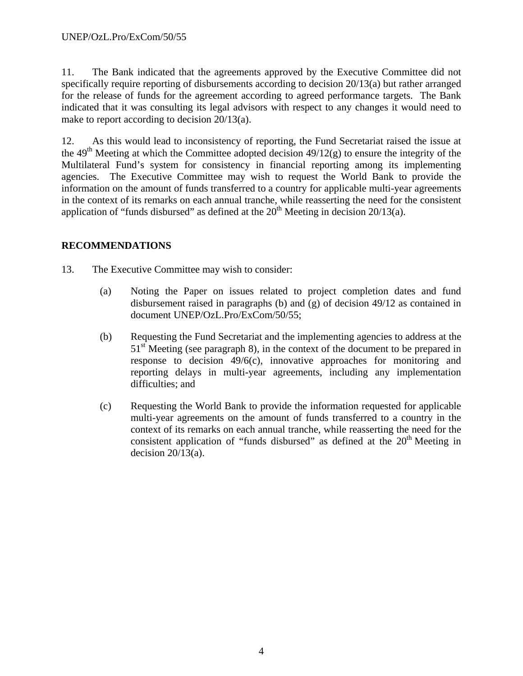11. The Bank indicated that the agreements approved by the Executive Committee did not specifically require reporting of disbursements according to decision 20/13(a) but rather arranged for the release of funds for the agreement according to agreed performance targets. The Bank indicated that it was consulting its legal advisors with respect to any changes it would need to make to report according to decision 20/13(a).

12. As this would lead to inconsistency of reporting, the Fund Secretariat raised the issue at the 49<sup>th</sup> Meeting at which the Committee adopted decision  $49/12(g)$  to ensure the integrity of the Multilateral Fund's system for consistency in financial reporting among its implementing agencies. The Executive Committee may wish to request the World Bank to provide the information on the amount of funds transferred to a country for applicable multi-year agreements in the context of its remarks on each annual tranche, while reasserting the need for the consistent application of "funds disbursed" as defined at the  $20<sup>th</sup>$  Meeting in decision  $20/13(a)$ .

### **RECOMMENDATIONS**

- 13. The Executive Committee may wish to consider:
	- (a) Noting the Paper on issues related to project completion dates and fund disbursement raised in paragraphs (b) and (g) of decision 49/12 as contained in document UNEP/OzL.Pro/ExCom/50/55;
	- (b) Requesting the Fund Secretariat and the implementing agencies to address at the  $51<sup>st</sup>$  Meeting (see paragraph 8), in the context of the document to be prepared in response to decision 49/6(c), innovative approaches for monitoring and reporting delays in multi-year agreements, including any implementation difficulties; and
	- (c) Requesting the World Bank to provide the information requested for applicable multi-year agreements on the amount of funds transferred to a country in the context of its remarks on each annual tranche, while reasserting the need for the consistent application of "funds disbursed" as defined at the  $20<sup>th</sup>$  Meeting in decision  $20/13(a)$ .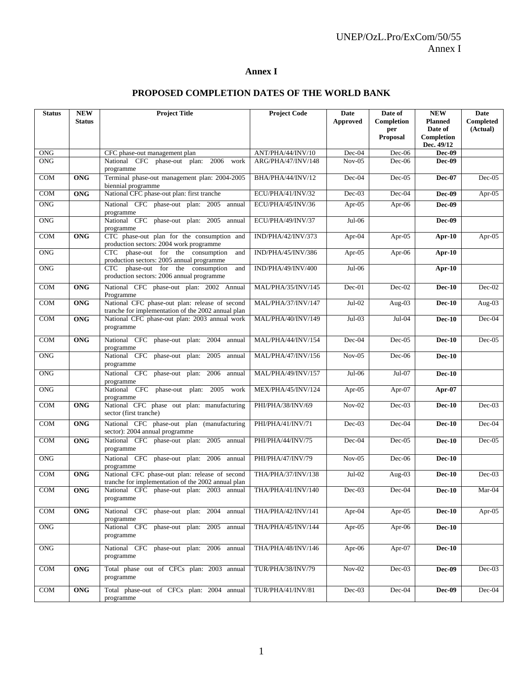### **Annex I**

| <b>Status</b>    | <b>NEW</b><br><b>Status</b> | <b>Project Title</b>                                                                                 | <b>Project Code</b> | Date<br>Approved     | Date of<br>Completion  | <b>NEW</b><br><b>Planned</b>        | <b>Date</b><br>Completed |
|------------------|-----------------------------|------------------------------------------------------------------------------------------------------|---------------------|----------------------|------------------------|-------------------------------------|--------------------------|
|                  |                             |                                                                                                      |                     |                      | per<br><b>Proposal</b> | Date of<br>Completion<br>Dec. 49/12 | (Actual)                 |
| <b>ONG</b>       |                             | CFC phase-out management plan                                                                        | ANT/PHA/44/INV/10   | Dec-04               | $Dec-06$               | Dec-09                              |                          |
| <b>ONG</b>       |                             | National CFC phase-out plan: 2006 work<br>programme                                                  | ARG/PHA/47/INV/148  | $Nov-05$             | $Dec-06$               | Dec-09                              |                          |
| COM              | <b>ONG</b>                  | Terminal phase-out management plan: 2004-2005<br>biennial programme                                  | BHA/PHA/44/INV/12   | Dec-04               | $Dec-05$               | <b>Dec-07</b>                       | $Dec-05$                 |
| COM              | <b>ONG</b>                  | National CFC phase-out plan: first tranche                                                           | ECU/PHA/41/INV/32   | $Dec-03$             | $Dec-04$               | Dec-09                              | Apr- $05$                |
| <b>ONG</b>       |                             | National CFC phase-out plan: 2005<br>annual<br>programme                                             | ECU/PHA/45/INV/36   | Apr-05               | Apr- $06$              | Dec-09                              |                          |
| ONG              |                             | National CFC phase-out plan: 2005 annual<br>programme                                                | ECU/PHA/49/INV/37   | $Jul-06$             |                        | Dec-09                              |                          |
| <b>COM</b>       | <b>ONG</b>                  | CTC phase-out plan for the consumption and<br>production sectors: 2004 work programme                | IND/PHA/42/INV/373  | Apr-04               | Apr- $05$              | Apr- $10$                           | Apr-05                   |
| <b>ONG</b>       |                             | CTC phase-out for the consumption<br>and<br>production sectors: 2005 annual programme                | IND/PHA/45/INV/386  | Apr-05               | Apr-06                 | Apr- $10$                           |                          |
| <b>ONG</b>       |                             | CTC phase-out for the consumption<br>and<br>production sectors: 2006 annual programme                | IND/PHA/49/INV/400  | $Jul-06$             |                        | $Apr-10$                            |                          |
| <b>COM</b>       | <b>ONG</b>                  | National CFC phase-out plan: 2002 Annual<br>Programme                                                | MAL/PHA/35/INV/145  | $Dec-01$             | Dec-02                 | <b>Dec-10</b>                       | $Dec-02$                 |
| <b>COM</b>       | <b>ONG</b>                  | National CFC phase-out plan: release of second<br>tranche for implementation of the 2002 annual plan | MAL/PHA/37/INV/147  | $Jul-02$             | Aug- $03$              | $Dec-10$                            | Aug- $03$                |
| <b>COM</b>       | <b>ONG</b>                  | National CFC phase-out plan: 2003 annual work<br>programme                                           | MAL/PHA/40/INV/149  | $Jul-03$             | Jul-04                 | <b>Dec-10</b>                       | $Dec-04$                 |
| <b>COM</b>       | <b>ONG</b>                  | National CFC phase-out plan: 2004<br>annual<br>programme                                             | MAL/PHA/44/INV/154  | $Dec-04$             | $Dec-05$               | <b>Dec-10</b>                       | $Dec-05$                 |
| <b>ONG</b>       |                             | National CFC phase-out plan: 2005<br>annual<br>programme                                             | MAL/PHA/47/INV/156  | $Nov-05$             | $Dec-06$               | <b>Dec-10</b>                       |                          |
| <b>ONG</b>       |                             | National CFC phase-out plan: 2006<br>annual<br>programme                                             | MAL/PHA/49/INV/157  | Jul-06               | Jul-07                 | $Dec-10$                            |                          |
| <b>ONG</b>       |                             | National CFC phase-out plan: 2005<br>work<br>programme                                               | MEX/PHA/45/INV/124  | Apr-05               | Apr- $07$              | Apr- $07$                           |                          |
| <b>COM</b>       | <b>ONG</b>                  | National CFC phase out plan: manufacturing<br>sector (first tranche)                                 | PHI/PHA/38/INV/69   | $Nov-02$             | $Dec-03$               | $Dec-10$                            | $Dec-03$                 |
| <b>COM</b>       | <b>ONG</b>                  | National CFC phase-out plan (manufacturing<br>sector): 2004 annual programme                         | PHI/PHA/41/INV/71   | $Dec-03$             | Dec-04                 | $Dec-10$                            | $Dec-04$                 |
| <b>COM</b>       | <b>ONG</b>                  | National CFC phase-out plan: 2005 annual<br>programme                                                | PHI/PHA/44/INV/75   | Dec-04               | $Dec-05$               | <b>Dec-10</b>                       | $Dec-05$                 |
| <b>ONG</b>       |                             | National CFC phase-out plan: 2006 annual<br>programme                                                | PHI/PHA/47/INV/79   | $Nov-05$             | $Dec-06$               | $Dec-10$                            |                          |
| COM              | <b>ONG</b>                  | National CFC phase-out plan: release of second<br>tranche for implementation of the 2002 annual plan | THA/PHA/37/INV/138  | $Jul-02$             | Aug-03                 | $Dec-10$                            | $Dec-03$                 |
| <b>COM</b>       | <b>ONG</b>                  | National CFC phase-out plan: 2003 annual<br>programme                                                | THA/PHA/41/INV/140  | $Dec-03$             | Dec-04                 | <b>Dec-10</b>                       | Mar-04                   |
| COM              | ONG                         | National CFC phase-out plan: 2004<br>annual<br>programme                                             | THA/PHA/42/INV/141  | Apr- $\overline{04}$ | Apr- $05$              | <b>Dec-10</b>                       | Apr- $05$                |
| <b>ONG</b>       |                             | National CFC phase-out plan: 2005 annual<br>programme                                                | THA/PHA/45/INV/144  | Apr- $05$            | Apr-06                 | <b>Dec-10</b>                       |                          |
| <b>ONG</b>       |                             | National CFC phase-out plan: 2006 annual<br>programme                                                | THA/PHA/48/INV/146  | Apr- $06$            | Apr- $07$              | <b>Dec-10</b>                       |                          |
| $\overline{COM}$ | <b>ONG</b>                  | Total phase out of CFCs plan: 2003 annual<br>programme                                               | TUR/PHA/38/INV/79   | $Nov-02$             | $Dec-03$               | <b>Dec-09</b>                       | $Dec-03$                 |
| COM              | ONG                         | Total phase-out of CFCs plan: 2004 annual<br>programme                                               | TUR/PHA/41/INV/81   | $Dec-03$             | Dec-04                 | <b>Dec-09</b>                       | $Dec-04$                 |

#### **PROPOSED COMPLETION DATES OF THE WORLD BANK**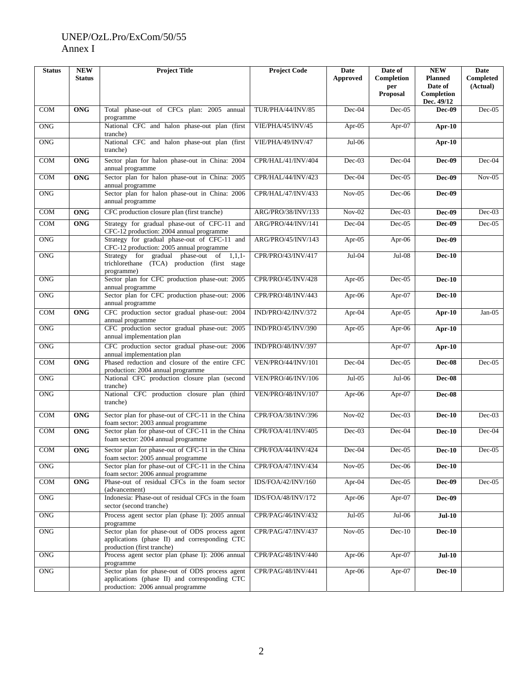# UNEP/OzL.Pro/ExCom/50/55 Annex I

| <b>Status</b> | <b>NEW</b><br><b>Status</b> | <b>Project Title</b>                                                                                                                 | <b>Project Code</b> | Date<br>Approved | Date of<br>Completion  | <b>NEW</b><br><b>Planned</b> | Date<br>Completed |
|---------------|-----------------------------|--------------------------------------------------------------------------------------------------------------------------------------|---------------------|------------------|------------------------|------------------------------|-------------------|
|               |                             |                                                                                                                                      |                     |                  | per<br><b>Proposal</b> | Date of<br>Completion        | (Actual)          |
| <b>COM</b>    | <b>ONG</b>                  | Total phase-out of CFCs plan: 2005 annual<br>programme                                                                               | TUR/PHA/44/INV/85   | Dec-04           | $Dec-05$               | Dec. 49/12<br>Dec-09         | $Dec-05$          |
| <b>ONG</b>    |                             | National CFC and halon phase-out plan (first<br>tranche)                                                                             | VIE/PHA/45/INV/45   | Apr- $05$        | Apr- $07$              | Apr-10                       |                   |
| <b>ONG</b>    |                             | National CFC and halon phase-out plan (first<br>tranche)                                                                             | VIE/PHA/49/INV/47   | $Jul-06$         |                        | $Apr-10$                     |                   |
| <b>COM</b>    | <b>ONG</b>                  | Sector plan for halon phase-out in China: 2004<br>annual programme                                                                   | CPR/HAL/41/INV/404  | $Dec-03$         | Dec-04                 | Dec-09                       | $Dec-04$          |
| <b>COM</b>    | <b>ONG</b>                  | Sector plan for halon phase-out in China: 2005<br>annual programme                                                                   | CPR/HAL/44/INV/423  | Dec-04           | $Dec-05$               | Dec-09                       | $Nov-05$          |
| <b>ONG</b>    |                             | Sector plan for halon phase-out in China: 2006<br>annual programme                                                                   | CPR/HAL/47/INV/433  | $Nov-05$         | $Dec-06$               | Dec-09                       |                   |
| COM           | <b>ONG</b>                  | CFC production closure plan (first tranche)                                                                                          | ARG/PRO/38/INV/133  | $Nov-02$         | $Dec-03$               | Dec-09                       | $Dec-03$          |
| <b>COM</b>    | $\overline{ONG}$            | Strategy for gradual phase-out of CFC-11 and                                                                                         | ARG/PRO/44/INV/141  | Dec-04           | $Dec-05$               | Dec-09                       | $Dec-05$          |
| <b>ONG</b>    |                             | CFC-12 production: 2004 annual programme<br>Strategy for gradual phase-out of CFC-11 and<br>CFC-12 production: 2005 annual programme | ARG/PRO/45/INV/143  | Apr- $05$        | Apr-06                 | Dec-09                       |                   |
| <b>ONG</b>    |                             | Strategy for gradual phase-out of 1,1,1-<br>trichlorethane (TCA) production (first stage<br>programme)                               | CPR/PRO/43/INV/417  | Jul-04           | $Jul-08$               | <b>Dec-10</b>                |                   |
| <b>ONG</b>    |                             | Sector plan for CFC production phase-out: 2005<br>annual programme                                                                   | CPR/PRO/45/INV/428  | Apr-05           | $Dec-05$               | <b>Dec-10</b>                |                   |
| <b>ONG</b>    |                             | Sector plan for CFC production phase-out: 2006<br>annual programme                                                                   | CPR/PRO/48/INV/443  | Apr-06           | Apr-07                 | <b>Dec-10</b>                |                   |
| COM           | <b>ONG</b>                  | CFC production sector gradual phase-out: 2004<br>annual programme                                                                    | IND/PRO/42/INV/372  | Apr- $04$        | Apr-05                 | Apr- $10$                    | $Jan-05$          |
| <b>ONG</b>    |                             | CFC production sector gradual phase-out: 2005<br>annual implementation plan                                                          | IND/PRO/45/INV/390  | Apr- $05$        | Apr- $06$              | Apr-10                       |                   |
| <b>ONG</b>    |                             | CFC production sector gradual phase-out: 2006<br>annual implementation plan                                                          | IND/PRO/48/INV/397  |                  | Apr-07                 | Apr- $10$                    |                   |
| COM           | <b>ONG</b>                  | Phased reduction and closure of the entire CFC<br>production: 2004 annual programme                                                  | VEN/PRO/44/INV/101  | Dec-04           | $Dec-05$               | Dec-08                       | $Dec-05$          |
| <b>ONG</b>    |                             | National CFC production closure plan (second<br>tranche)                                                                             | VEN/PRO/46/INV/106  | $Jul-05$         | $Jul-06$               | Dec-08                       |                   |
| <b>ONG</b>    |                             | National<br>CFC production closure plan (third<br>tranche)                                                                           | VEN/PRO/48/INV/107  | Apr- $06$        | Apr-07                 | <b>Dec-08</b>                |                   |
| COM           | <b>ONG</b>                  | Sector plan for phase-out of CFC-11 in the China<br>foam sector: 2003 annual programme                                               | CPR/FOA/38/INV/396  | $Nov-02$         | Dec-03                 | <b>Dec-10</b>                | $Dec-03$          |
| COM           | <b>ONG</b>                  | Sector plan for phase-out of CFC-11 in the China<br>foam sector: 2004 annual programme                                               | CPR/FOA/41/INV/405  | $Dec-03$         | Dec-04                 | <b>Dec-10</b>                | $Dec-04$          |
| COM           | ONG                         | Sector plan for phase-out of CFC-11 in the China<br>foam sector: 2005 annual programme                                               | CPR/FOA/44/INV/424  | Dec-04           | Dec-05                 | $Dec-10$                     | Dec-05            |
| <b>ONG</b>    |                             | Sector plan for phase-out of CFC-11 in the China<br>foam sector: 2006 annual programme                                               | CPR/FOA/47/INV/434  | $Nov-05$         | Dec-06                 | <b>Dec-10</b>                |                   |
| COM           | <b>ONG</b>                  | Phase-out of residual CFCs in the foam sector<br>(advancement)                                                                       | IDS/FOA/42/INV/160  | Apr- $04$        | $Dec-05$               | <b>Dec-09</b>                | $Dec-05$          |
| <b>ONG</b>    |                             | Indonesia: Phase-out of residual CFCs in the foam<br>sector (second tranche)                                                         | IDS/FOA/48/INV/172  | Apr- $06$        | Apr-07                 | <b>Dec-09</b>                |                   |
| <b>ONG</b>    |                             | Process agent sector plan (phase I): 2005 annual<br>programme                                                                        | CPR/PAG/46/INV/432  | $Jul-05$         | $Jul-06$               | <b>Jul-10</b>                |                   |
| <b>ONG</b>    |                             | Sector plan for phase-out of ODS process agent<br>applications (phase II) and corresponding CTC<br>production (first tranche)        | CPR/PAG/47/INV/437  | $Nov-05$         | $Dec-10$               | <b>Dec-10</b>                |                   |
| <b>ONG</b>    |                             | Process agent sector plan (phase I): 2006 annual<br>programme                                                                        | CPR/PAG/48/INV/440  | Apr- $06$        | Apr- $07$              | $Jul-10$                     |                   |
| $\rm ONG$     |                             | Sector plan for phase-out of ODS process agent<br>applications (phase II) and corresponding CTC<br>production: 2006 annual programme | CPR/PAG/48/INV/441  | Apr-06           | Apr- $07$              | <b>Dec-10</b>                |                   |